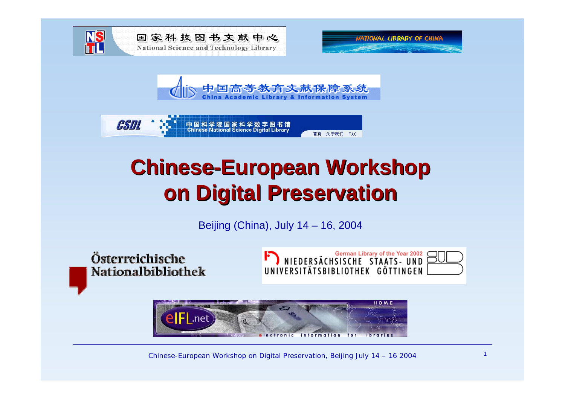







# **Chinese-European Workshop on Digital Preservation on Digital Preservation**

Beijing (China), July 14 – 16, 2004

Österreichische Nationalbibliothek







Chinese-European Workshop on Digital Preservation, Beijing July  $14 - 16$  2004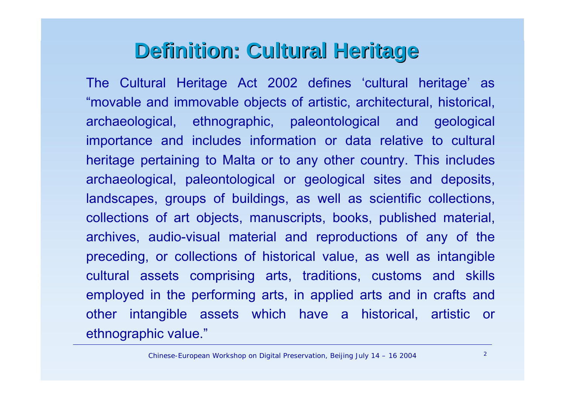#### **Definition: Cultural Heritage Definition: Cultural Heritage**

The Cultural Heritage Act 2002 defines 'cultural heritage' as "movable and immovable objects of artistic, architectural, historical, archaeological, ethnographic, paleontological and geological importance and includes information or data relative to cultural heritage pertaining to Malta or to any other country. This includes archaeological, paleontological or geological sites and deposits, landscapes, groups of buildings, as well as scientific collections, collections of art objects, manuscripts, books, published material, archives, audio-visual material and reproductions of any of the preceding, or collections of historical value, as well as intangible cultural assets comprising arts, traditions, customs and skills employed in the performing arts, in applied arts and in crafts and other intangible assets which have a historical, artistic or ethnographic value."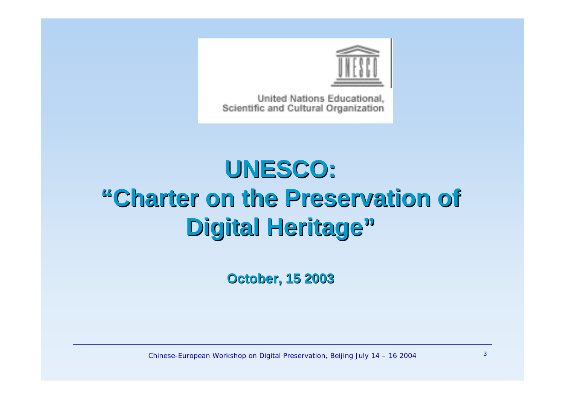

United Nations Educational. Scientific and Cultural Organization

# **UNESCO: UNESCO: "Charter on the Preservation of Charter on the Preservation of Digital Heritage Digital Heritage"**

**October, 15 2003 October, 15 2003**

Chinese-European Workshop on Digital Preservation, Beijing July  $14 - 16$  2004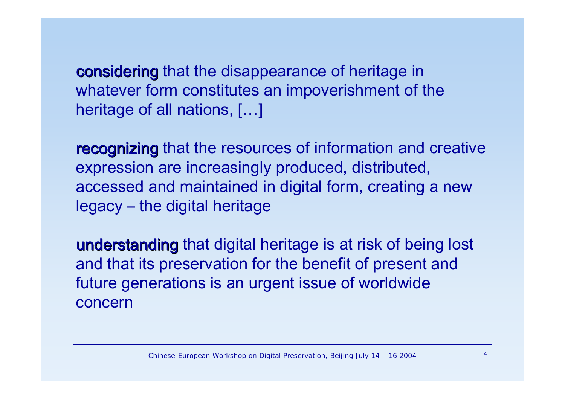considering that the disappearance of heritage in whatever form constitutes an impoverishment of the heritage of all nations, […]

recognizing that the resources of information and creative expression are increasingly produced, distributed, accessed and maintained in digital form, creating a new legacy – the digital heritage

understanding that digital heritage is at risk of being lost and that its preservation for the benefit of present and future generations is an urgent issue of worldwide concern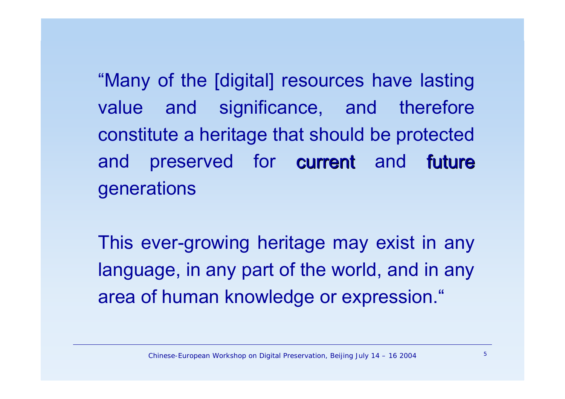"Many of the [digital] resources have lasting value and significance, and therefore constitute a heritage that should be protected and preserved for current and future generations

This ever-growing heritage may exist in any language, in any part of the world, and in any area of human knowledge or expression."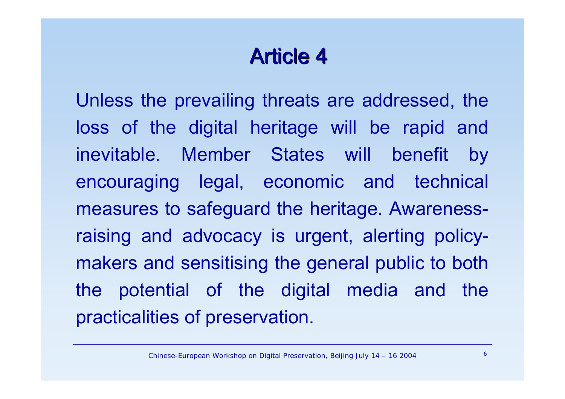# **Article 4**

Unless the prevailing threats are addressed, the loss of the digital heritage will be rapid and inevitable. Member States will benefit by encouraging legal, economic and technical measures to safeguard the heritage. Awarenessraising and advocacy is urgent, alerting policymakers and sensitising the general public to both the potential of the digital media and the practicalities of preservation.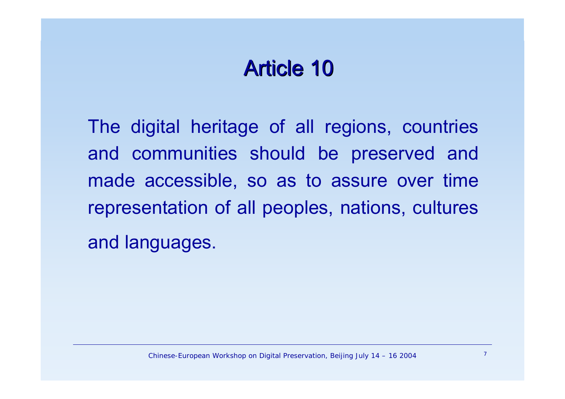### Article 10

The digital heritage of all regions, countries and communities should be preserved and made accessible, so as to assure over time representation of all peoples, nations, cultures and languages.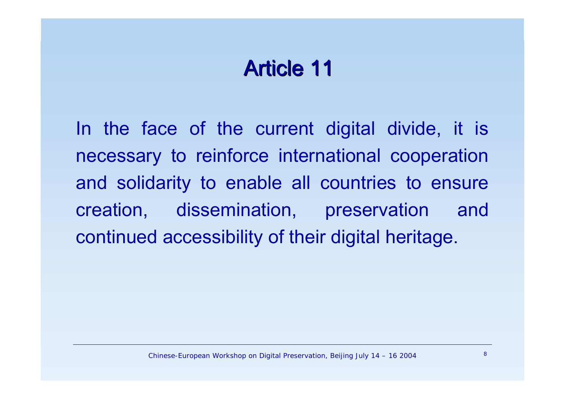### Article 11

In the face of the current digital divide, it is necessary to reinforce international cooperation and solidarity to enable all countries to ensure creation, dissemination, preservation and continued accessibility of their digital heritage.